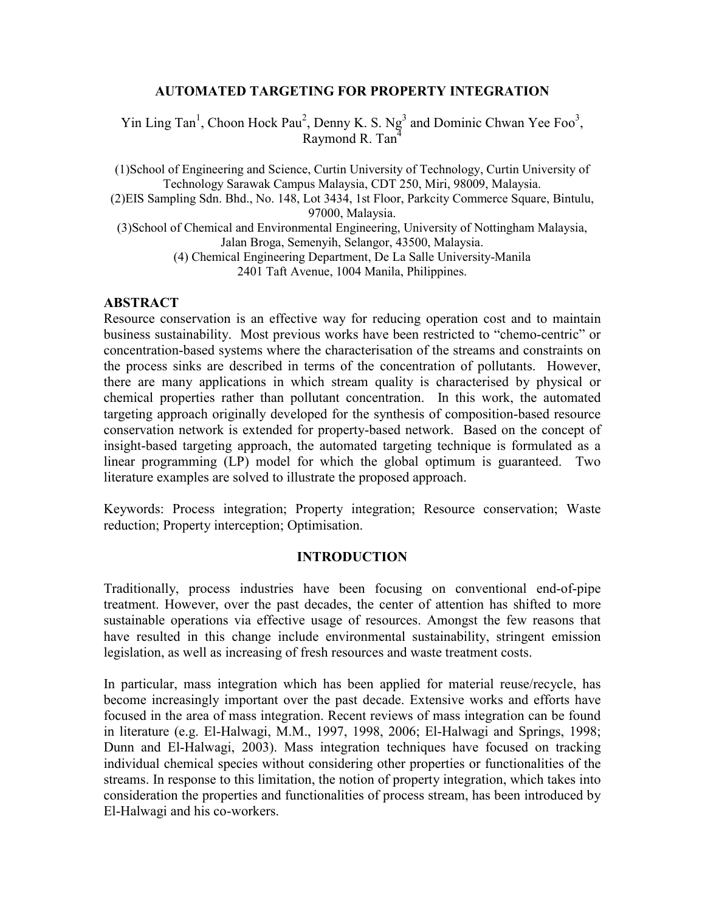## AUTOMATED TARGETING FOR PROPERTY INTEGRATION

Yin Ling Tan<sup>1</sup>, Choon Hock Pau<sup>2</sup>, Denny K. S. Ng<sup>3</sup> and Dominic Chwan Yee Foo<sup>3</sup>, Raymond R. Tan<sup>4</sup>

(1)School of Engineering and Science, Curtin University of Technology, Curtin University of Technology Sarawak Campus Malaysia, CDT 250, Miri, 98009, Malaysia. (2)EIS Sampling Sdn. Bhd., No. 148, Lot 3434, 1st Floor, Parkcity Commerce Square, Bintulu, 97000, Malaysia. (3)School of Chemical and Environmental Engineering, University of Nottingham Malaysia, Jalan Broga, Semenyih, Selangor, 43500, Malaysia. (4) Chemical Engineering Department, De La Salle University-Manila 2401 Taft Avenue, 1004 Manila, Philippines.

### ABSTRACT

Resource conservation is an effective way for reducing operation cost and to maintain business sustainability. Most previous works have been restricted to "chemo-centric" or concentration-based systems where the characterisation of the streams and constraints on the process sinks are described in terms of the concentration of pollutants. However, there are many applications in which stream quality is characterised by physical or chemical properties rather than pollutant concentration. In this work, the automated targeting approach originally developed for the synthesis of composition-based resource conservation network is extended for property-based network. Based on the concept of insight-based targeting approach, the automated targeting technique is formulated as a linear programming (LP) model for which the global optimum is guaranteed. Two literature examples are solved to illustrate the proposed approach.

Keywords: Process integration; Property integration; Resource conservation; Waste reduction; Property interception; Optimisation.

### INTRODUCTION

Traditionally, process industries have been focusing on conventional end-of-pipe treatment. However, over the past decades, the center of attention has shifted to more sustainable operations via effective usage of resources. Amongst the few reasons that have resulted in this change include environmental sustainability, stringent emission legislation, as well as increasing of fresh resources and waste treatment costs.

In particular, mass integration which has been applied for material reuse/recycle, has become increasingly important over the past decade. Extensive works and efforts have focused in the area of mass integration. Recent reviews of mass integration can be found in literature (e.g. El-Halwagi, M.M., 1997, 1998, 2006; El-Halwagi and Springs, 1998; Dunn and El-Halwagi, 2003). Mass integration techniques have focused on tracking individual chemical species without considering other properties or functionalities of the streams. In response to this limitation, the notion of property integration, which takes into consideration the properties and functionalities of process stream, has been introduced by El-Halwagi and his co-workers.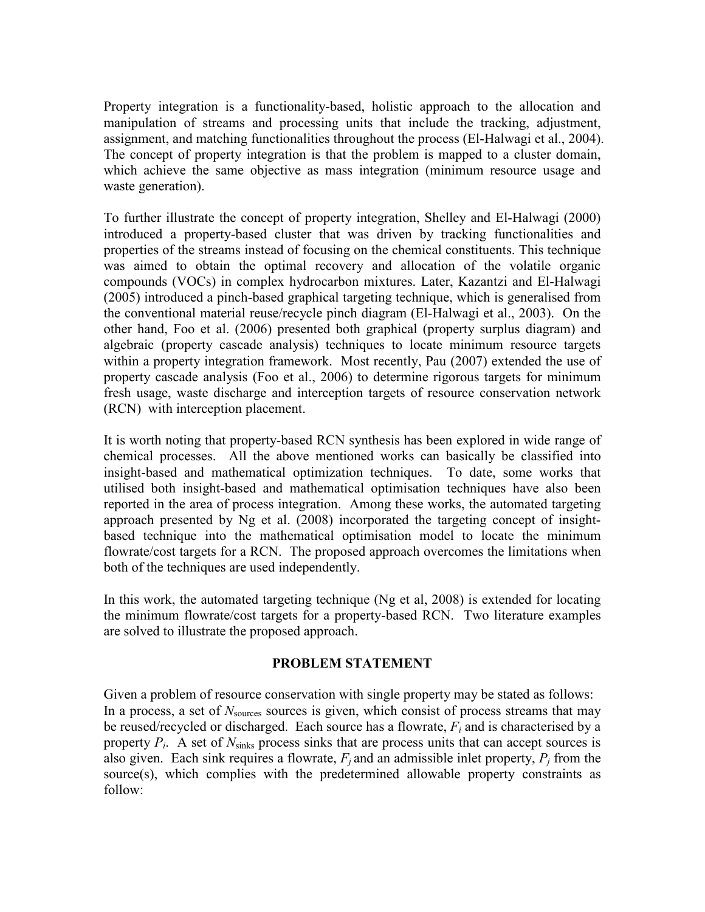Property integration is a functionality-based, holistic approach to the allocation and manipulation of streams and processing units that include the tracking, adjustment, assignment, and matching functionalities throughout the process (El-Halwagi et al., 2004). The concept of property integration is that the problem is mapped to a cluster domain, which achieve the same objective as mass integration (minimum resource usage and waste generation).

To further illustrate the concept of property integration, Shelley and El-Halwagi (2000) introduced a property-based cluster that was driven by tracking functionalities and properties of the streams instead of focusing on the chemical constituents. This technique was aimed to obtain the optimal recovery and allocation of the volatile organic compounds (VOCs) in complex hydrocarbon mixtures. Later, Kazantzi and El-Halwagi (2005) introduced a pinch-based graphical targeting technique, which is generalised from the conventional material reuse/recycle pinch diagram (El-Halwagi et al., 2003). On the other hand, Foo et al. (2006) presented both graphical (property surplus diagram) and algebraic (property cascade analysis) techniques to locate minimum resource targets within a property integration framework. Most recently, Pau (2007) extended the use of property cascade analysis (Foo et al., 2006) to determine rigorous targets for minimum fresh usage, waste discharge and interception targets of resource conservation network (RCN) with interception placement.

It is worth noting that property-based RCN synthesis has been explored in wide range of chemical processes. All the above mentioned works can basically be classified into insight-based and mathematical optimization techniques. To date, some works that utilised both insight-based and mathematical optimisation techniques have also been reported in the area of process integration. Among these works, the automated targeting approach presented by Ng et al. (2008) incorporated the targeting concept of insightbased technique into the mathematical optimisation model to locate the minimum flowrate/cost targets for a RCN. The proposed approach overcomes the limitations when both of the techniques are used independently.

In this work, the automated targeting technique (Ng et al, 2008) is extended for locating the minimum flowrate/cost targets for a property-based RCN. Two literature examples are solved to illustrate the proposed approach.

# PROBLEM STATEMENT

Given a problem of resource conservation with single property may be stated as follows: In a process, a set of  $N_{\text{sources}}$  sources is given, which consist of process streams that may be reused/recycled or discharged. Each source has a flowrate,  $F_i$  and is characterised by a property  $P_i$ . A set of  $N_{\text{sinks}}$  process sinks that are process units that can accept sources is also given. Each sink requires a flowrate,  $F_j$  and an admissible inlet property,  $P_j$  from the source(s), which complies with the predetermined allowable property constraints as follow: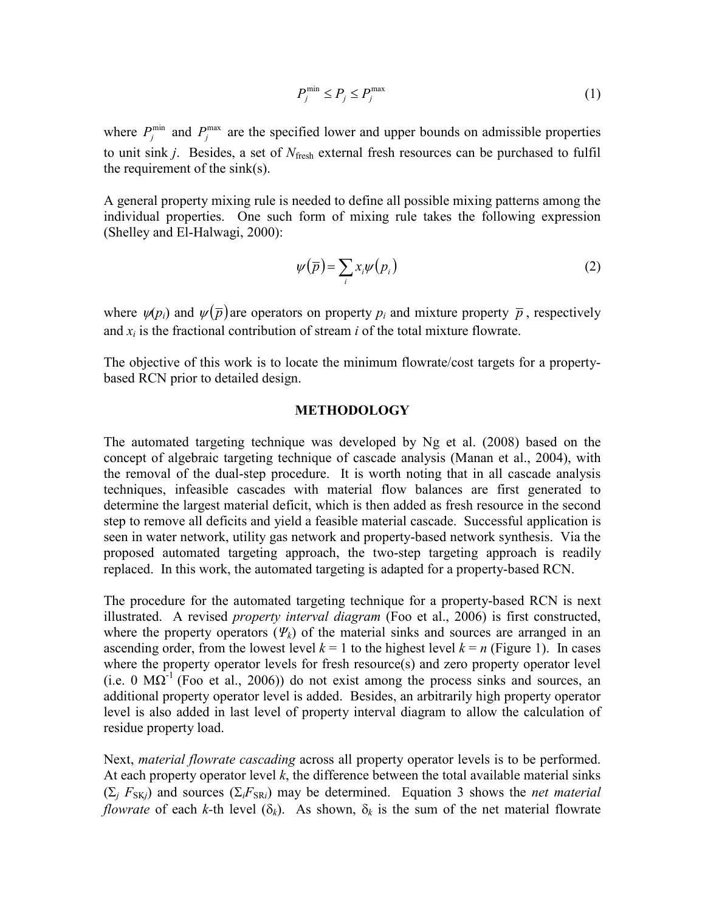$$
P_j^{\min} \le P_j \le P_j^{\max} \tag{1}
$$

where  $P_j^{\text{min}}$  and  $P_j^{\text{max}}$  are the specified lower and upper bounds on admissible properties to unit sink  $j$ . Besides, a set of  $N_{\text{fresh}}$  external fresh resources can be purchased to fulfil the requirement of the sink(s).

A general property mixing rule is needed to define all possible mixing patterns among the individual properties. One such form of mixing rule takes the following expression (Shelley and El-Halwagi, 2000):

$$
\psi(\overline{p}) = \sum_{i} x_i \psi(p_i) \tag{2}
$$

where  $\psi(p_i)$  and  $\psi(\bar{p})$  are operators on property  $p_i$  and mixture property  $\bar{p}$ , respectively and  $x_i$  is the fractional contribution of stream i of the total mixture flowrate.

The objective of this work is to locate the minimum flowrate/cost targets for a propertybased RCN prior to detailed design.

### METHODOLOGY

The automated targeting technique was developed by Ng et al. (2008) based on the concept of algebraic targeting technique of cascade analysis (Manan et al., 2004), with the removal of the dual-step procedure. It is worth noting that in all cascade analysis techniques, infeasible cascades with material flow balances are first generated to determine the largest material deficit, which is then added as fresh resource in the second step to remove all deficits and yield a feasible material cascade. Successful application is seen in water network, utility gas network and property-based network synthesis. Via the proposed automated targeting approach, the two-step targeting approach is readily replaced. In this work, the automated targeting is adapted for a property-based RCN.

The procedure for the automated targeting technique for a property-based RCN is next illustrated. A revised *property interval diagram* (Foo et al., 2006) is first constructed, where the property operators ( $\Psi_k$ ) of the material sinks and sources are arranged in an ascending order, from the lowest level  $k = 1$  to the highest level  $k = n$  (Figure 1). In cases where the property operator levels for fresh resource(s) and zero property operator level (i.e. 0  $\text{M}\Omega$ <sup>-1</sup> (Foo et al., 2006)) do not exist among the process sinks and sources, an additional property operator level is added. Besides, an arbitrarily high property operator level is also added in last level of property interval diagram to allow the calculation of residue property load.

Next, material flowrate cascading across all property operator levels is to be performed. At each property operator level  $k$ , the difference between the total available material sinks  $(\Sigma_i F_{SK})$  and sources  $(\Sigma_i F_{SR})$  may be determined. Equation 3 shows the *net material flowrate* of each k-th level ( $\delta_k$ ). As shown,  $\delta_k$  is the sum of the net material flowrate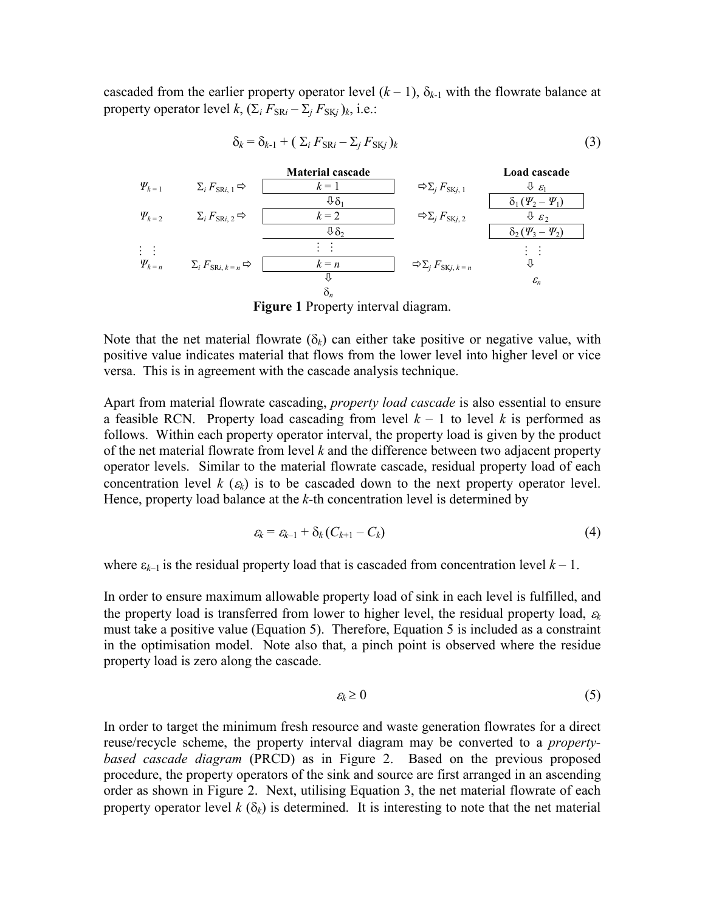cascaded from the earlier property operator level  $(k-1)$ ,  $\delta_{k-1}$  with the flowrate balance at property operator level  $k$ ,  $(\Sigma_i F_{SRi} - \Sigma_j F_{SKj})_k$ , i.e.:



$$
\delta_k = \delta_{k-1} + (\Sigma_i F_{SRi} - \Sigma_j F_{SKj})_k
$$
\n(3)

Note that the net material flowrate ( $\delta_k$ ) can either take positive or negative value, with positive value indicates material that flows from the lower level into higher level or vice versa. This is in agreement with the cascade analysis technique.

Apart from material flowrate cascading, *property load cascade* is also essential to ensure a feasible RCN. Property load cascading from level  $k - 1$  to level k is performed as follows. Within each property operator interval, the property load is given by the product of the net material flowrate from level  $k$  and the difference between two adjacent property operator levels. Similar to the material flowrate cascade, residual property load of each concentration level  $k(\epsilon_k)$  is to be cascaded down to the next property operator level. Hence, property load balance at the  $k$ -th concentration level is determined by

$$
\varepsilon_k = \varepsilon_{k-1} + \delta_k (C_{k+1} - C_k) \tag{4}
$$

where  $\varepsilon_{k-1}$  is the residual property load that is cascaded from concentration level  $k-1$ .

In order to ensure maximum allowable property load of sink in each level is fulfilled, and the property load is transferred from lower to higher level, the residual property load,  $\varepsilon_k$ must take a positive value (Equation 5). Therefore, Equation 5 is included as a constraint in the optimisation model. Note also that, a pinch point is observed where the residue property load is zero along the cascade.

$$
\varepsilon_k \geq 0 \tag{5}
$$

In order to target the minimum fresh resource and waste generation flowrates for a direct reuse/recycle scheme, the property interval diagram may be converted to a propertybased cascade diagram (PRCD) as in Figure 2. Based on the previous proposed procedure, the property operators of the sink and source are first arranged in an ascending order as shown in Figure 2. Next, utilising Equation 3, the net material flowrate of each property operator level  $k(\delta_k)$  is determined. It is interesting to note that the net material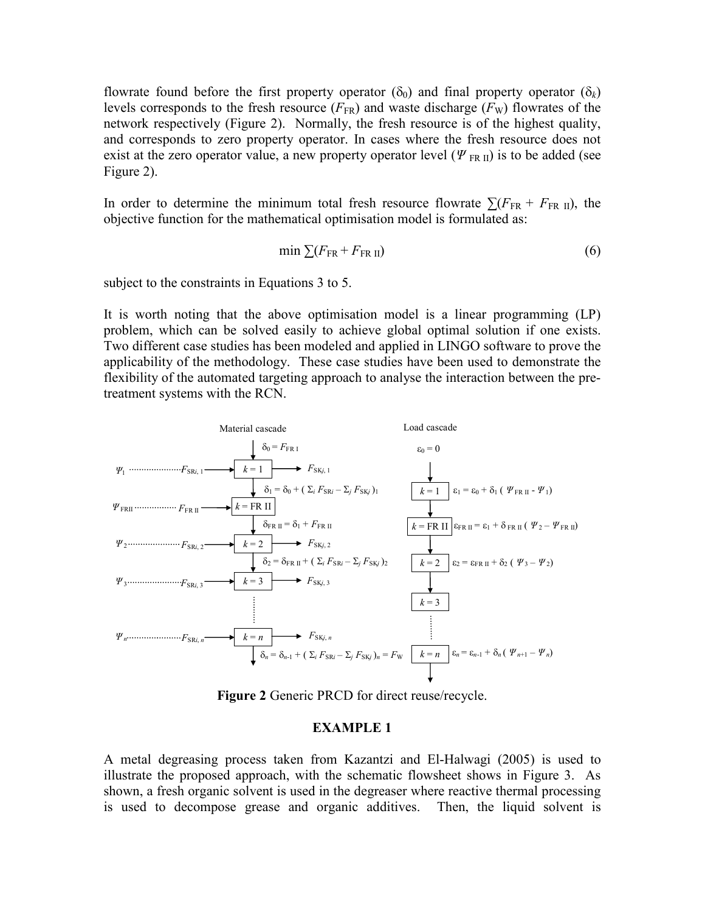flowrate found before the first property operator ( $\delta_0$ ) and final property operator ( $\delta_k$ ) levels corresponds to the fresh resource  $(F_{FR})$  and waste discharge  $(F_W)$  flowrates of the network respectively (Figure 2). Normally, the fresh resource is of the highest quality, and corresponds to zero property operator. In cases where the fresh resource does not exist at the zero operator value, a new property operator level ( $\Psi_{FR\,II}$ ) is to be added (see Figure 2).

In order to determine the minimum total fresh resource flowrate  $\sum (F_{FR} + F_{FRH})$ , the objective function for the mathematical optimisation model is formulated as:

$$
\min \sum (F_{\text{FR}} + F_{\text{FR II}}) \tag{6}
$$

subject to the constraints in Equations 3 to 5.

It is worth noting that the above optimisation model is a linear programming (LP) problem, which can be solved easily to achieve global optimal solution if one exists. Two different case studies has been modeled and applied in LINGO software to prove the applicability of the methodology. These case studies have been used to demonstrate the flexibility of the automated targeting approach to analyse the interaction between the pretreatment systems with the RCN.



Figure 2 Generic PRCD for direct reuse/recycle.

### EXAMPLE 1

A metal degreasing process taken from Kazantzi and El-Halwagi (2005) is used to illustrate the proposed approach, with the schematic flowsheet shows in Figure 3. As shown, a fresh organic solvent is used in the degreaser where reactive thermal processing is used to decompose grease and organic additives. Then, the liquid solvent is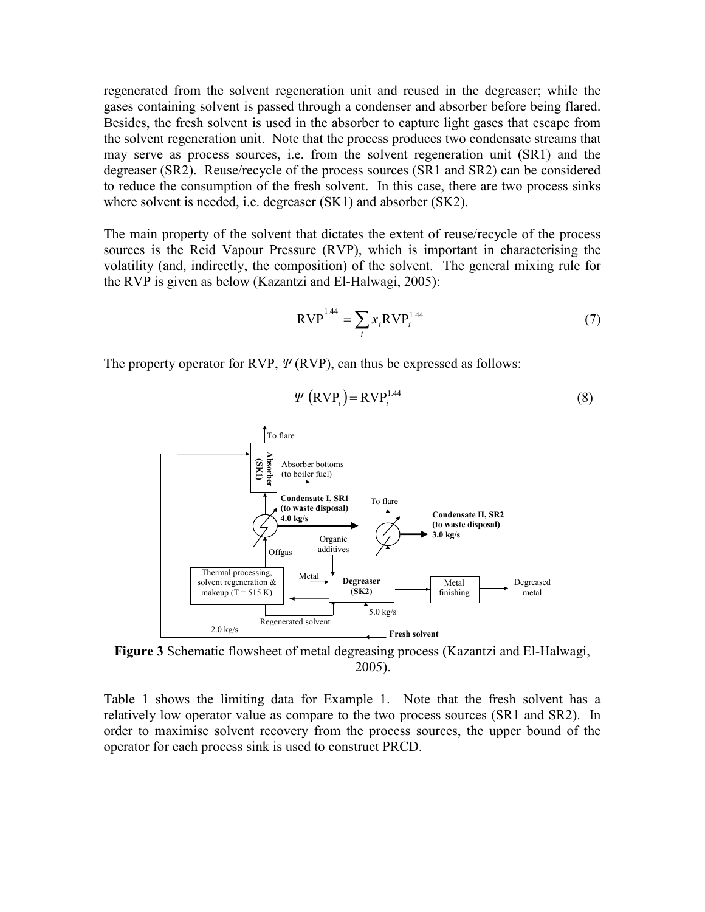regenerated from the solvent regeneration unit and reused in the degreaser; while the gases containing solvent is passed through a condenser and absorber before being flared. Besides, the fresh solvent is used in the absorber to capture light gases that escape from the solvent regeneration unit. Note that the process produces two condensate streams that may serve as process sources, i.e. from the solvent regeneration unit (SR1) and the degreaser (SR2). Reuse/recycle of the process sources (SR1 and SR2) can be considered to reduce the consumption of the fresh solvent. In this case, there are two process sinks where solvent is needed, i.e. degreaser (SK1) and absorber (SK2).

The main property of the solvent that dictates the extent of reuse/recycle of the process sources is the Reid Vapour Pressure (RVP), which is important in characterising the volatility (and, indirectly, the composition) of the solvent. The general mixing rule for the RVP is given as below (Kazantzi and El-Halwagi, 2005):

$$
\overline{\text{RVP}}^{1.44} = \sum_{i} x_i \text{RVP}_i^{1.44} \tag{7}
$$

The property operator for RVP,  $\Psi$ (RVP), can thus be expressed as follows:

$$
\Psi\left(\text{RVP}_i\right) = \text{RVP}_i^{1.44} \tag{8}
$$



Figure 3 Schematic flowsheet of metal degreasing process (Kazantzi and El-Halwagi, 2005).

Table 1 shows the limiting data for Example 1. Note that the fresh solvent has a relatively low operator value as compare to the two process sources (SR1 and SR2). In order to maximise solvent recovery from the process sources, the upper bound of the operator for each process sink is used to construct PRCD.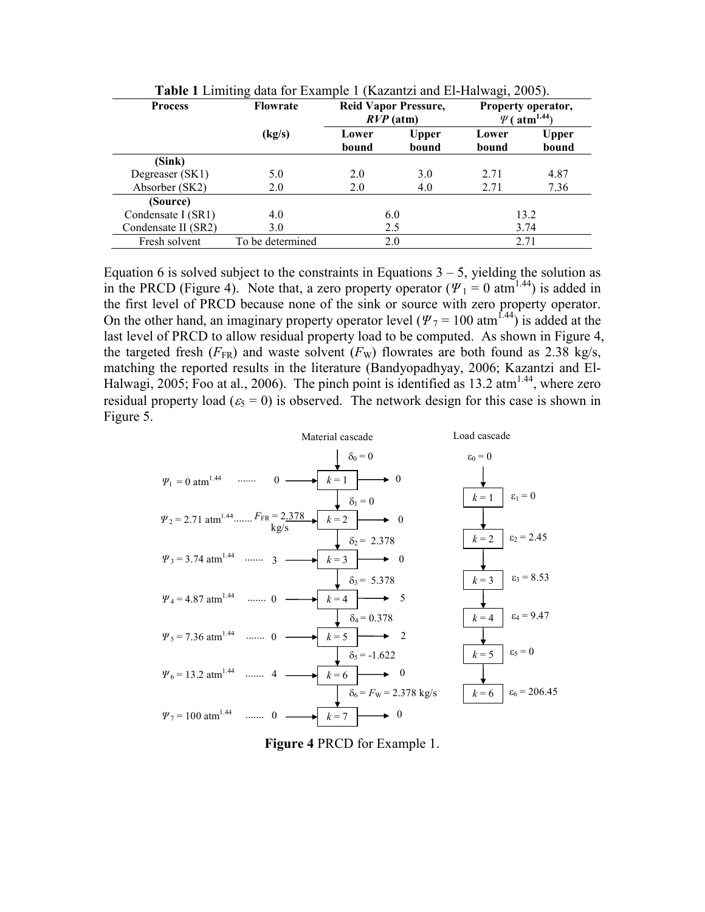| <b>Process</b>      | <b>Reid Vapor Pressure,</b><br><b>Flowrate</b><br>$RVP$ (atm) |                |                       | Property operator,<br>$\Psi$ (atm <sup>1.44</sup> ) |                |  |
|---------------------|---------------------------------------------------------------|----------------|-----------------------|-----------------------------------------------------|----------------|--|
|                     | (kg/s)                                                        | Lower<br>bound | <b>Upper</b><br>bound | Lower<br>bound                                      | Upper<br>bound |  |
| (Sink)              |                                                               |                |                       |                                                     |                |  |
| Degreaser (SK1)     | 5.0                                                           | 2.0            | 3.0                   | 2.71                                                | 4.87           |  |
| Absorber (SK2)      | 2.0                                                           | 2.0            | 4.0                   | 2.71                                                | 7.36           |  |
| (Source)            |                                                               |                |                       |                                                     |                |  |
| Condensate I (SR1)  | 4.0                                                           | 6.0            |                       | 13.2                                                |                |  |
| Condensate II (SR2) | 3.0                                                           | 2.5            |                       | 3.74                                                |                |  |
| Fresh solvent       | To be determined                                              | 2.0            |                       | 2.71                                                |                |  |

Table 1 Limiting data for Example 1 (Kazantzi and El-Halwagi, 2005).

Equation 6 is solved subject to the constraints in Equations  $3 - 5$ , yielding the solution as in the PRCD (Figure 4). Note that, a zero property operator ( $\Psi_1 = 0$  atm<sup>1.44</sup>) is added in the first level of PRCD because none of the sink or source with zero property operator. On the other hand, an imaginary property operator level ( $\Psi$ <sub>7</sub> = 100 atm<sup>1.44</sup>) is added at the last level of PRCD to allow residual property load to be computed. As shown in Figure 4, the targeted fresh ( $F_{FR}$ ) and waste solvent ( $F_{W}$ ) flowrates are both found as 2.38 kg/s, matching the reported results in the literature (Bandyopadhyay, 2006; Kazantzi and El-Halwagi, 2005; Foo at al., 2006). The pinch point is identified as  $13.2 \text{ atm}^{1.44}$ , where zero residual property load ( $\varepsilon_5 = 0$ ) is observed. The network design for this case is shown in Figure 5.



Figure 4 PRCD for Example 1.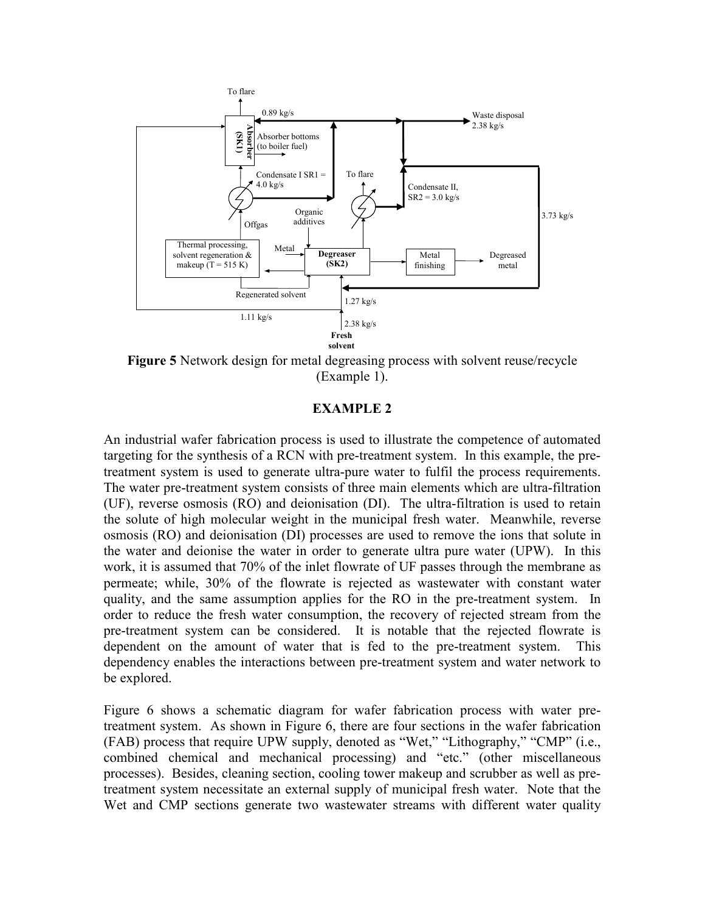

Figure 5 Network design for metal degreasing process with solvent reuse/recycle (Example 1).

### EXAMPLE 2

An industrial wafer fabrication process is used to illustrate the competence of automated targeting for the synthesis of a RCN with pre-treatment system. In this example, the pretreatment system is used to generate ultra-pure water to fulfil the process requirements. The water pre-treatment system consists of three main elements which are ultra-filtration (UF), reverse osmosis (RO) and deionisation (DI). The ultra-filtration is used to retain the solute of high molecular weight in the municipal fresh water. Meanwhile, reverse osmosis (RO) and deionisation (DI) processes are used to remove the ions that solute in the water and deionise the water in order to generate ultra pure water (UPW). In this work, it is assumed that 70% of the inlet flowrate of UF passes through the membrane as permeate; while, 30% of the flowrate is rejected as wastewater with constant water quality, and the same assumption applies for the RO in the pre-treatment system. In order to reduce the fresh water consumption, the recovery of rejected stream from the pre-treatment system can be considered. It is notable that the rejected flowrate is dependent on the amount of water that is fed to the pre-treatment system. This dependency enables the interactions between pre-treatment system and water network to be explored.

Figure 6 shows a schematic diagram for wafer fabrication process with water pretreatment system. As shown in Figure 6, there are four sections in the wafer fabrication (FAB) process that require UPW supply, denoted as "Wet," "Lithography," "CMP" (i.e., combined chemical and mechanical processing) and "etc." (other miscellaneous processes). Besides, cleaning section, cooling tower makeup and scrubber as well as pretreatment system necessitate an external supply of municipal fresh water. Note that the Wet and CMP sections generate two wastewater streams with different water quality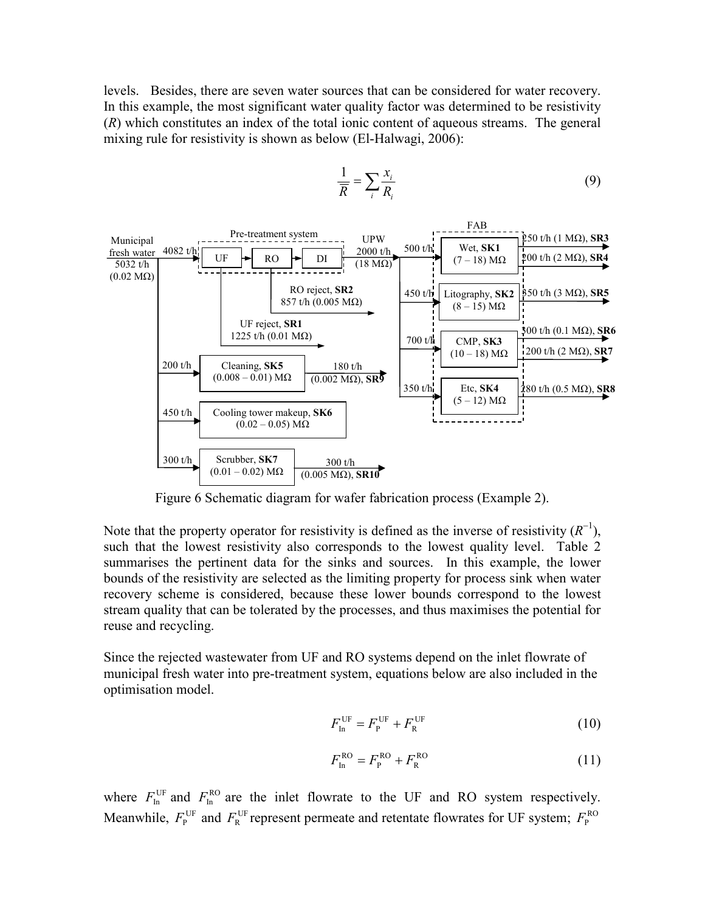levels. Besides, there are seven water sources that can be considered for water recovery. In this example, the most significant water quality factor was determined to be resistivity (R) which constitutes an index of the total ionic content of aqueous streams. The general mixing rule for resistivity is shown as below (El-Halwagi, 2006):

> R 1

 $=\sum_i \frac{x_i}{R_i}$ i R x

(9)



Figure 6 Schematic diagram for wafer fabrication process (Example 2).

Note that the property operator for resistivity is defined as the inverse of resistivity  $(R^{-1})$ , such that the lowest resistivity also corresponds to the lowest quality level. Table 2 summarises the pertinent data for the sinks and sources. In this example, the lower bounds of the resistivity are selected as the limiting property for process sink when water recovery scheme is considered, because these lower bounds correspond to the lowest stream quality that can be tolerated by the processes, and thus maximises the potential for reuse and recycling.

Since the rejected wastewater from UF and RO systems depend on the inlet flowrate of municipal fresh water into pre-treatment system, equations below are also included in the optimisation model.

$$
F_{\text{In}}^{\text{UF}} = F_{\text{P}}^{\text{UF}} + F_{\text{R}}^{\text{UF}} \tag{10}
$$

$$
F_{\text{In}}^{\text{RO}} = F_{\text{P}}^{\text{RO}} + F_{\text{R}}^{\text{RO}} \tag{11}
$$

where  $F_{\text{In}}^{\text{UF}}$  and  $F_{\text{In}}^{\text{RO}}$  are the inlet flowrate to the UF and RO system respectively. Meanwhile,  $F_{\rm P}^{\rm UF}$  and  $F_{\rm R}^{\rm UF}$  represent permeate and retentate flowrates for UF system;  $F_{\rm P}^{\rm RO}$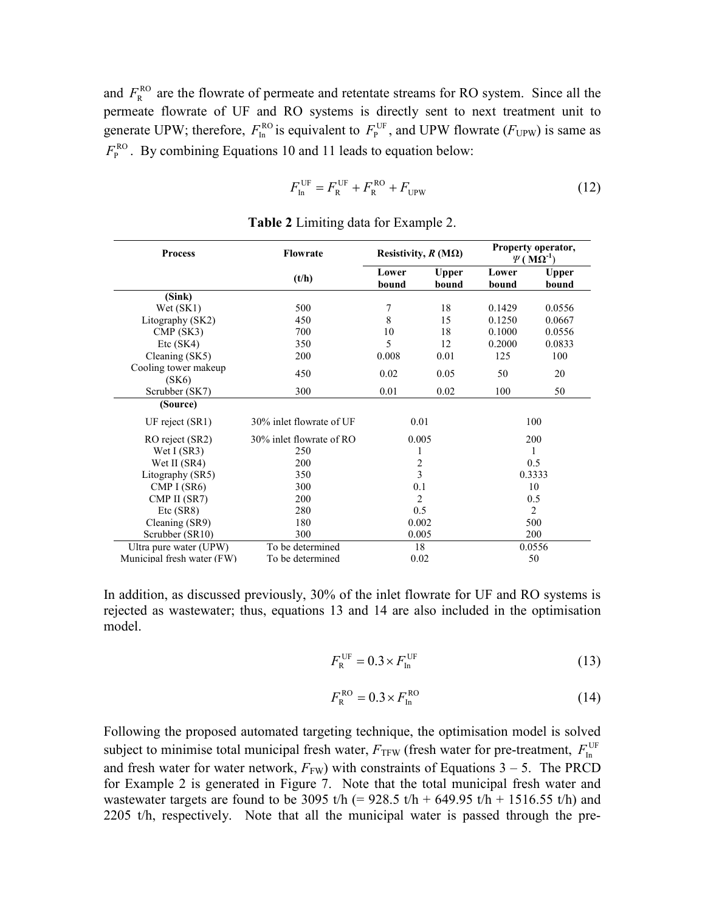and  $F_{R}^{RO}$  are the flowrate of permeate and retentate streams for RO system. Since all the permeate flowrate of UF and RO systems is directly sent to next treatment unit to generate UPW; therefore,  $F_{\text{In}}^{RO}$  is equivalent to  $F_{\text{P}}^{UF}$ , and UPW flowrate ( $F_{UPW}$ ) is same as  $F_{\rm P}^{\rm RO}$ . By combining Equations 10 and 11 leads to equation below:

$$
F_{\text{In}}^{\text{UF}} = F_{\text{R}}^{\text{UF}} + F_{\text{R}}^{\text{RO}} + F_{\text{UPW}} \tag{12}
$$

| <b>Process</b>                | <b>Flowrate</b>          | Resistivity, $R(M\Omega)$ |                       | Property operator,<br>$\Psi(M\Omega^{-1})$ |                       |
|-------------------------------|--------------------------|---------------------------|-----------------------|--------------------------------------------|-----------------------|
|                               | (t/h)                    | Lower<br>bound            | <b>Upper</b><br>bound | Lower<br>bound                             | <b>Upper</b><br>bound |
| (Sink)                        |                          |                           |                       |                                            |                       |
| Wet (SK1)                     | 500                      | 7                         | 18                    | 0.1429                                     | 0.0556                |
| Litography (SK2)              | 450                      | 8                         | 15                    | 0.1250                                     | 0.0667                |
| CMP(SK3)                      | 700                      | 10                        | 18                    | 0.1000                                     | 0.0556                |
| Etc(SK4)                      | 350                      | 5                         | 12                    | 0.2000                                     | 0.0833                |
| Cleaning (SK5)                | 200                      | 0.008                     | 0.01                  | 125                                        | 100                   |
| Cooling tower makeup<br>(SK6) | 450                      | 0.02                      | 0.05                  | 50                                         | 20                    |
| Scrubber (SK7)                | 300                      | 0.01                      | 0.02                  | 100                                        | 50                    |
| (Source)                      |                          |                           |                       |                                            |                       |
| UF reject $(SR1)$             | 30% inlet flowrate of UF | 0.01                      |                       | 100                                        |                       |
| RO reject (SR2)               | 30% inlet flowrate of RO | 0.005                     |                       | 200                                        |                       |
| Wet I (SR3)                   | 250                      |                           |                       | 1                                          |                       |
| Wet II (SR4)                  | 200                      | $\sqrt{2}$                |                       | 0.5                                        |                       |
| Litography (SR5)              | 350                      | $\overline{3}$            |                       | 0.3333                                     |                       |
| CMP $I(SR6)$                  | 300                      | 0.1                       |                       | 10                                         |                       |
| CMP II (SR7)                  | 200                      | $\overline{2}$            |                       | 0.5                                        |                       |
| Etc(SR8)                      | 280                      | 0.5                       |                       | $\overline{2}$                             |                       |
| Cleaning (SR9)                | 180                      | 0.002                     |                       | 500                                        |                       |
| Scrubber (SR10)               | 300                      | 0.005                     |                       | 200                                        |                       |
| Ultra pure water (UPW)        | To be determined         | 18                        |                       | 0.0556                                     |                       |
| Municipal fresh water (FW)    | To be determined         | 0.02                      |                       | 50                                         |                       |

Table 2 Limiting data for Example 2.

In addition, as discussed previously, 30% of the inlet flowrate for UF and RO systems is rejected as wastewater; thus, equations 13 and 14 are also included in the optimisation model.

$$
F_{\rm R}^{\rm UF} = 0.3 \times F_{\rm In}^{\rm UF} \tag{13}
$$

$$
F_{\rm R}^{\rm RO} = 0.3 \times F_{\rm In}^{\rm RO} \tag{14}
$$

Following the proposed automated targeting technique, the optimisation model is solved subject to minimise total municipal fresh water,  $F_{\text{TFW}}$  (fresh water for pre-treatment,  $F_{\text{In}}^{\text{UF}}$ and fresh water for water network,  $F_{FW}$ ) with constraints of Equations 3 – 5. The PRCD for Example 2 is generated in Figure 7. Note that the total municipal fresh water and wastewater targets are found to be 3095 t/h (=  $928.5$  t/h +  $649.95$  t/h +  $1516.55$  t/h) and 2205 t/h, respectively. Note that all the municipal water is passed through the pre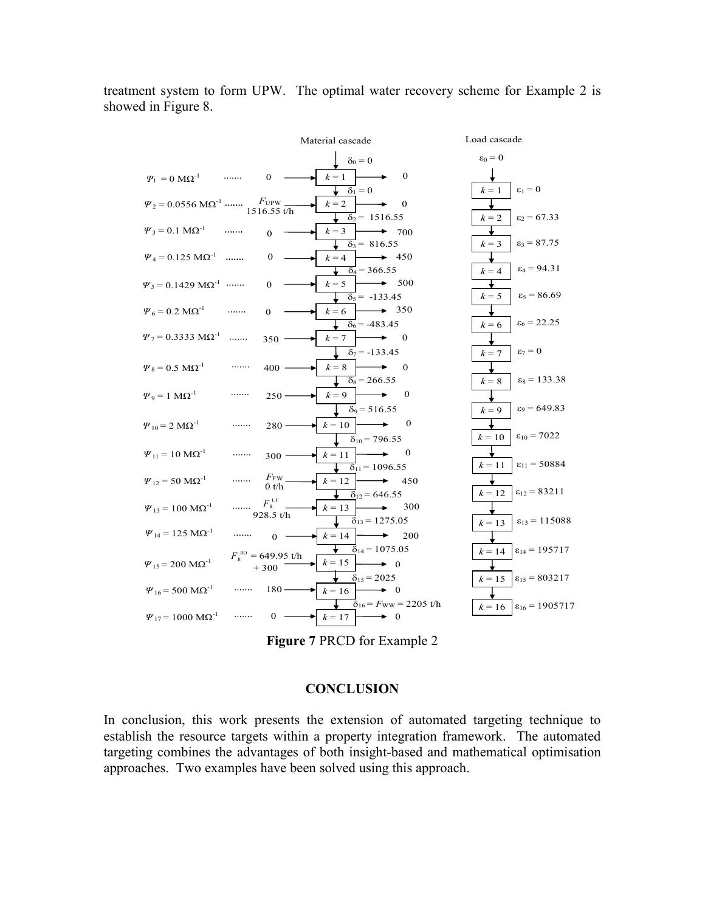treatment system to form UPW. The optimal water recovery scheme for Example 2 is showed in Figure 8.



Figure 7 PRCD for Example 2

#### **CONCLUSION**

In conclusion, this work presents the extension of automated targeting technique to establish the resource targets within a property integration framework. The automated targeting combines the advantages of both insight-based and mathematical optimisation approaches. Two examples have been solved using this approach.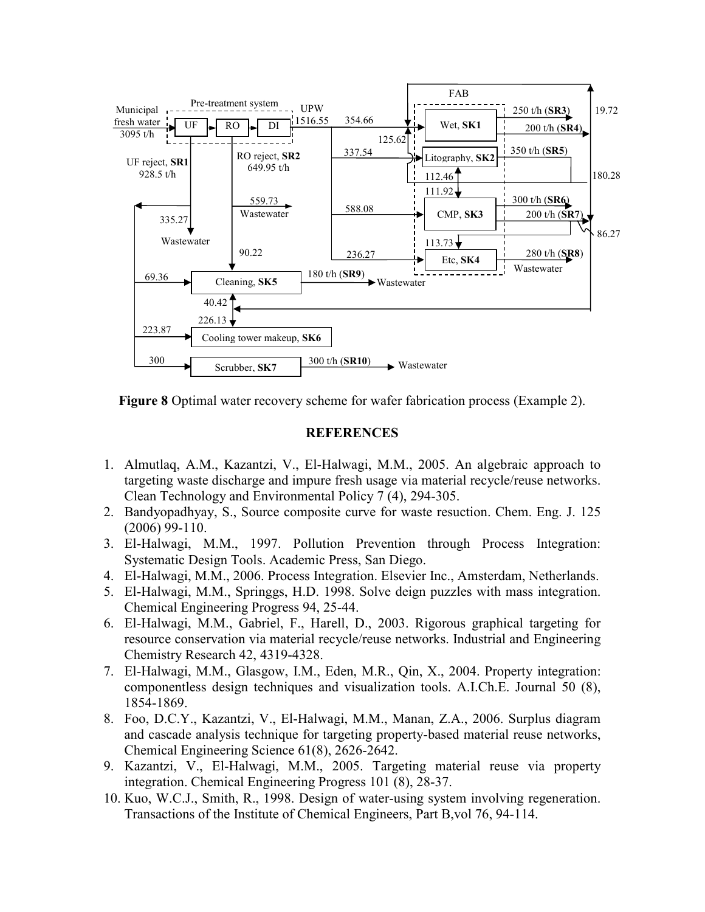



## **REFERENCES**

- 1. Almutlaq, A.M., Kazantzi, V., El-Halwagi, M.M., 2005. An algebraic approach to targeting waste discharge and impure fresh usage via material recycle/reuse networks. Clean Technology and Environmental Policy 7 (4), 294-305.
- 2. Bandyopadhyay, S., Source composite curve for waste resuction. Chem. Eng. J. 125 (2006) 99-110.
- 3. El-Halwagi, M.M., 1997. Pollution Prevention through Process Integration: Systematic Design Tools. Academic Press, San Diego.
- 4. El-Halwagi, M.M., 2006. Process Integration. Elsevier Inc., Amsterdam, Netherlands.
- 5. El-Halwagi, M.M., Springgs, H.D. 1998. Solve deign puzzles with mass integration. Chemical Engineering Progress 94, 25-44.
- 6. El-Halwagi, M.M., Gabriel, F., Harell, D., 2003. Rigorous graphical targeting for resource conservation via material recycle/reuse networks. Industrial and Engineering Chemistry Research 42, 4319-4328.
- 7. El-Halwagi, M.M., Glasgow, I.M., Eden, M.R., Qin, X., 2004. Property integration: componentless design techniques and visualization tools. A.I.Ch.E. Journal 50 (8), 1854-1869.
- 8. Foo, D.C.Y., Kazantzi, V., El-Halwagi, M.M., Manan, Z.A., 2006. Surplus diagram and cascade analysis technique for targeting property-based material reuse networks, Chemical Engineering Science 61(8), 2626-2642.
- 9. Kazantzi, V., El-Halwagi, M.M., 2005. Targeting material reuse via property integration. Chemical Engineering Progress 101 (8), 28-37.
- 10. Kuo, W.C.J., Smith, R., 1998. Design of water-using system involving regeneration. Transactions of the Institute of Chemical Engineers, Part B,vol 76, 94-114.